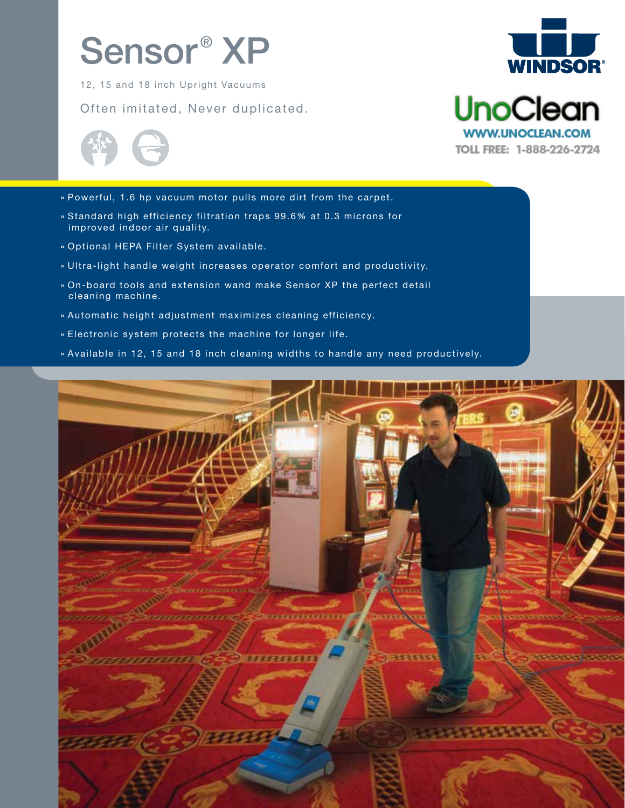# Sensor<sup>®</sup> XP

12, 15 and 18 inch Upright Vacuums

Often imitated, Never duplicated.



**UnoClean** 

**WWW.UNOCLEAN.COM** TOLL FREE: 1-888-226-2724



- » Powerful, 1.6 hp vacuum motor pulls more dirt from the carpet.
- » Standard high efficiency filtration traps 99.6% at 0.3 microns for improved indoor air quality.
- » Optional HEPA Filter System available.
- » Ultra-light handle weight increases operator comfort and productivity.
- » On-board tools and extension wand make Sensor XP the perfect detail cleaning machine.
- » Automatic height adjustment maximizes cleaning efficiency.
- » Electronic system protects the machine for longer life.
- » Available in 12, 15 and 18 inch cleaning widths to handle any need productively.

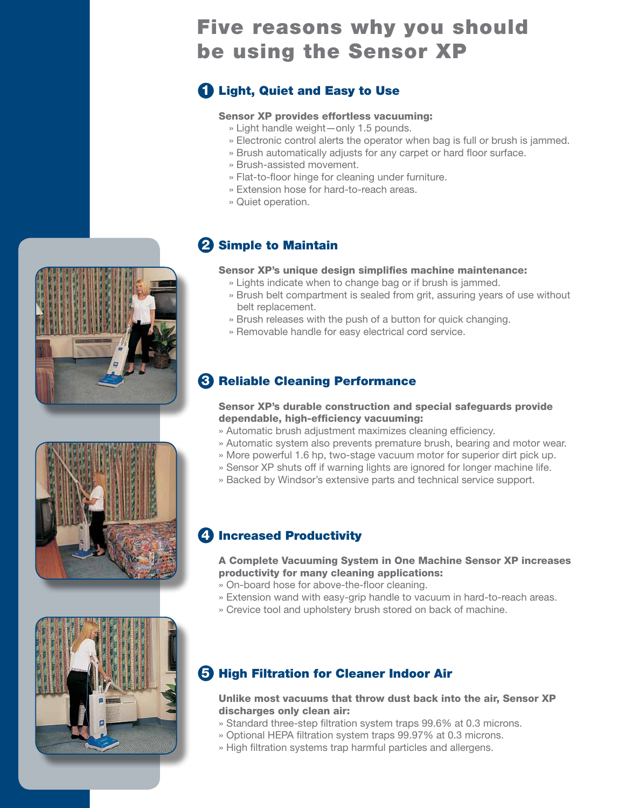## Five reasons why you should be using the Sensor XP

## **D** Light, Quiet and Easy to Use

#### Sensor XP provides effortless vacuuming:

- » Light handle weight—only 1.5 pounds.
- » Electronic control alerts the operator when bag is full or brush is jammed.
- » Brush automatically adjusts for any carpet or hard floor surface.
- » Brush-assisted movement.
- » Flat-to-floor hinge for cleaning under furniture.
- » Extension hose for hard-to-reach areas.
- » Quiet operation.

#### 2 Simple to Maintain

#### Sensor XP's unique design simplifies machine maintenance:

- » Lights indicate when to change bag or if brush is jammed.
- » Brush belt compartment is sealed from grit, assuring years of use without belt replacement.
- » Brush releases with the push of a button for quick changing.
- » Removable handle for easy electrical cord service.

## **3 Reliable Cleaning Performance**

#### Sensor XP's durable construction and special safeguards provide dependable, high-efficiency vacuuming:

- » Automatic brush adjustment maximizes cleaning efficiency.
- » Automatic system also prevents premature brush, bearing and motor wear.
- » More powerful 1.6 hp, two-stage vacuum motor for superior dirt pick up.
- » Sensor XP shuts off if warning lights are ignored for longer machine life.
- » Backed by Windsor's extensive parts and technical service support.

#### 4) Increased Productivity

#### A Complete Vacuuming System in One Machine Sensor XP increases productivity for many cleaning applications:

- » On-board hose for above-the-floor cleaning.
- » Extension wand with easy-grip handle to vacuum in hard-to-reach areas.
- » Crevice tool and upholstery brush stored on back of machine.

### **5 High Filtration for Cleaner Indoor Air**

#### Unlike most vacuums that throw dust back into the air, Sensor XP discharges only clean air:

- » Standard three-step filtration system traps 99.6% at 0.3 microns.
- » Optional HEPA filtration system traps 99.97% at 0.3 microns.
- » High filtration systems trap harmful particles and allergens.





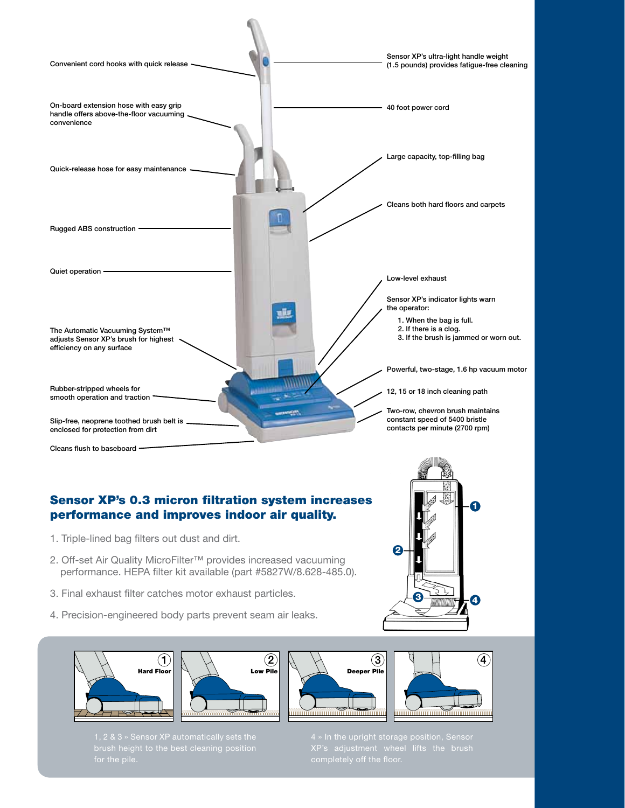

#### Sensor XP's 0.3 micron filtration system increases performance and improves indoor air quality.

- 1. Triple-lined bag filters out dust and dirt.
- 2. Off-set Air Quality MicroFilter™ provides increased vacuuming performance. HEPA filter kit available (part #5827W/8.628-485.0).
- 3. Final exhaust filter catches motor exhaust particles.
- 4. Precision-engineered body parts prevent seam air leaks.









 $3$  minimire  $-$  4

1

- 
- 4 » In the upright storage position, Sensor XP's adjustment wheel lifts the brush

2